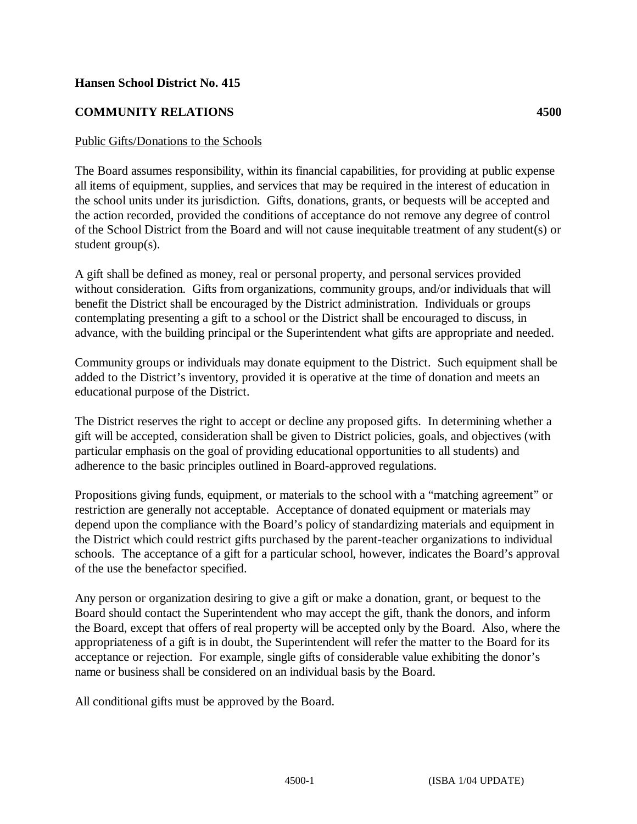## **Hansen School District No. 415**

## **COMMUNITY RELATIONS 4500**

## Public Gifts/Donations to the Schools

The Board assumes responsibility, within its financial capabilities, for providing at public expense all items of equipment, supplies, and services that may be required in the interest of education in the school units under its jurisdiction. Gifts, donations, grants, or bequests will be accepted and the action recorded, provided the conditions of acceptance do not remove any degree of control of the School District from the Board and will not cause inequitable treatment of any student(s) or student group(s).

A gift shall be defined as money, real or personal property, and personal services provided without consideration. Gifts from organizations, community groups, and/or individuals that will benefit the District shall be encouraged by the District administration. Individuals or groups contemplating presenting a gift to a school or the District shall be encouraged to discuss, in advance, with the building principal or the Superintendent what gifts are appropriate and needed.

Community groups or individuals may donate equipment to the District. Such equipment shall be added to the District's inventory, provided it is operative at the time of donation and meets an educational purpose of the District.

The District reserves the right to accept or decline any proposed gifts. In determining whether a gift will be accepted, consideration shall be given to District policies, goals, and objectives (with particular emphasis on the goal of providing educational opportunities to all students) and adherence to the basic principles outlined in Board-approved regulations.

Propositions giving funds, equipment, or materials to the school with a "matching agreement" or restriction are generally not acceptable. Acceptance of donated equipment or materials may depend upon the compliance with the Board's policy of standardizing materials and equipment in the District which could restrict gifts purchased by the parent-teacher organizations to individual schools. The acceptance of a gift for a particular school, however, indicates the Board's approval of the use the benefactor specified.

Any person or organization desiring to give a gift or make a donation, grant, or bequest to the Board should contact the Superintendent who may accept the gift, thank the donors, and inform the Board, except that offers of real property will be accepted only by the Board. Also, where the appropriateness of a gift is in doubt, the Superintendent will refer the matter to the Board for its acceptance or rejection. For example, single gifts of considerable value exhibiting the donor's name or business shall be considered on an individual basis by the Board.

All conditional gifts must be approved by the Board.